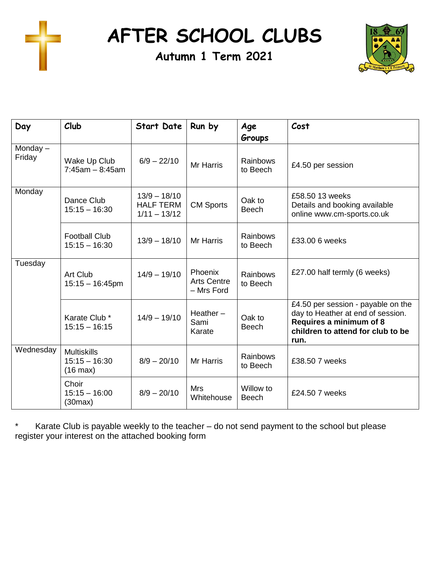

**AFTER SCHOOL CLUBS**

**Autumn 1 Term 2021**



| Day                  | Club                                                        | Start Date                                           | Run by                                      | Age<br>Groups             | Cost                                                                                                                                            |
|----------------------|-------------------------------------------------------------|------------------------------------------------------|---------------------------------------------|---------------------------|-------------------------------------------------------------------------------------------------------------------------------------------------|
| Monday $-$<br>Friday | Wake Up Club<br>$7:45am - 8:45am$                           | $6/9 - 22/10$                                        | <b>Mr Harris</b>                            | Rainbows<br>to Beech      | £4.50 per session                                                                                                                               |
| Monday               | Dance Club<br>$15:15 - 16:30$                               | $13/9 - 18/10$<br><b>HALF TERM</b><br>$1/11 - 13/12$ | <b>CM Sports</b>                            | Oak to<br><b>Beech</b>    | £58.50 13 weeks<br>Details and booking available<br>online www.cm-sports.co.uk                                                                  |
|                      | <b>Football Club</b><br>$15:15 - 16:30$                     | $13/9 - 18/10$                                       | <b>Mr Harris</b>                            | Rainbows<br>to Beech      | £33.00 6 weeks                                                                                                                                  |
| Tuesday              | Art Club<br>$15:15 - 16:45$ pm                              | $14/9 - 19/10$                                       | Phoenix<br><b>Arts Centre</b><br>- Mrs Ford | Rainbows<br>to Beech      | £27.00 half termly (6 weeks)                                                                                                                    |
|                      | Karate Club *<br>$15:15 - 16:15$                            | $14/9 - 19/10$                                       | Heather $-$<br>Sami<br>Karate               | Oak to<br><b>Beech</b>    | £4.50 per session - payable on the<br>day to Heather at end of session.<br>Requires a minimum of 8<br>children to attend for club to be<br>run. |
| Wednesday            | <b>Multiskills</b><br>$15:15 - 16:30$<br>$(16 \text{ max})$ | $8/9 - 20/10$                                        | <b>Mr Harris</b>                            | Rainbows<br>to Beech      | £38,50 7 weeks                                                                                                                                  |
|                      | Choir<br>$15:15 - 16:00$<br>(30max)                         | $8/9 - 20/10$                                        | <b>Mrs</b><br>Whitehouse                    | Willow to<br><b>Beech</b> | £24.50 7 weeks                                                                                                                                  |

\* Karate Club is payable weekly to the teacher – do not send payment to the school but please register your interest on the attached booking form